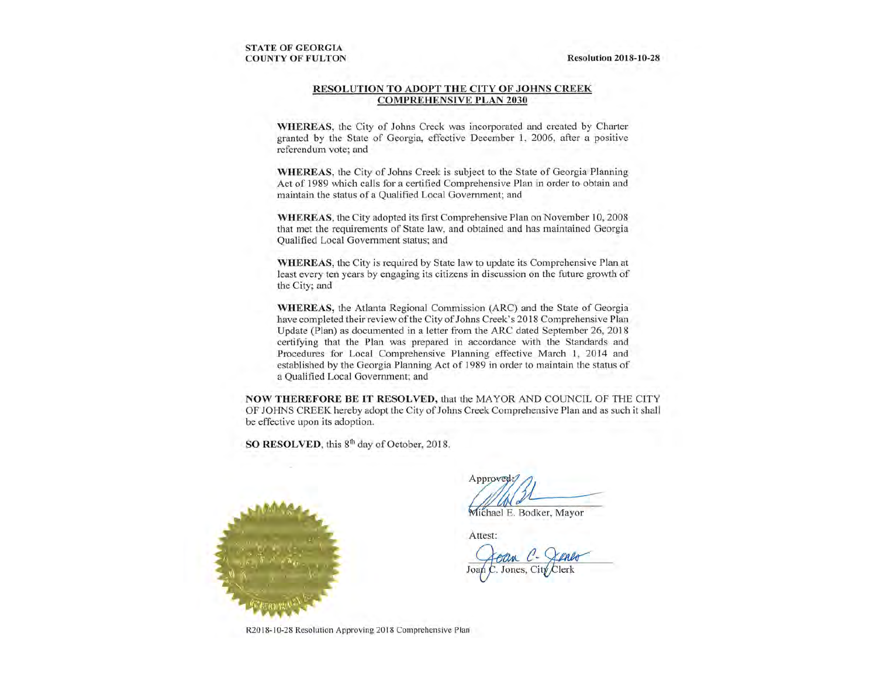#### RESOLUTION TO ADOPT THE CITY OF JOHNS CREEK **COMPREHENSIVE PLAN 2030**

WHEREAS, the City of Johns Creek was incorporated and created by Charter granted by the State of Georgia, effective December 1, 2006, after a positive referendum vote; and

WHEREAS, the City of Johns Creek is subject to the State of Georgia Planning Act of 1989 which calls for a certified Comprehensive Plan in order to obtain and maintain the status of a Qualified Local Government; and

WHEREAS, the City adopted its first Comprehensive Plan on November 10, 2008 that met the requirements of State law, and obtained and has maintained Georgia Oualified Local Government status; and

**WHEREAS**, the City is required by State law to update its Comprehensive Plan at least every ten years by engaging its citizens in discussion on the future growth of the City; and

WHEREAS, the Atlanta Regional Commission (ARC) and the State of Georgia have completed their review of the City of Johns Creek's 2018 Comprehensive Plan Update (Plan) as documented in a letter from the ARC dated September 26, 2018 certifying that the Plan was prepared in accordance with the Standards and Procedures for Local Comprehensive Planning effective March 1, 2014 and established by the Georgia Planning Act of 1989 in order to maintain the status of a Qualified Local Government; and

NOW THEREFORE BE IT RESOLVED, that the MAYOR AND COUNCIL OF THE CITY OF JOHNS CREEK hereby adopt the City of Johns Creek Comprehensive Plan and as such it shall be effective upon its adoption.

SO RESOLVED, this 8<sup>th</sup> day of October, 2018.



Approved

Michael E. Bodker, Mayor

Attest:

R2018-10-28 Resolution Approving 2018 Comprehensive Plan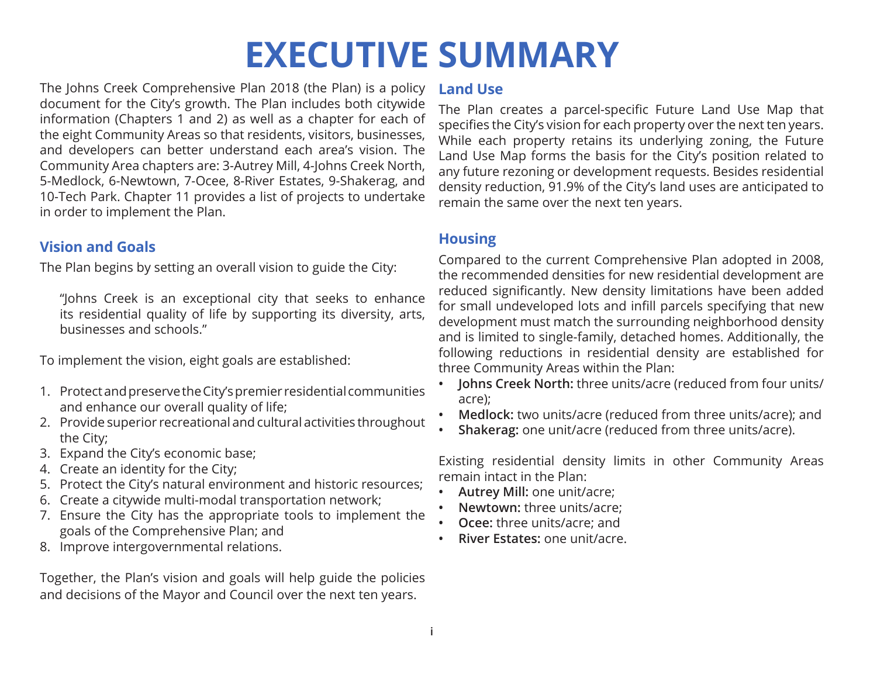# **EXECUTIVE SUMMARY**

The Johns Creek Comprehensive Plan 2018 (the Plan) is a policy document for the City's growth. The Plan includes both citywide information (Chapters 1 and 2) as well as a chapter for each of the eight Community Areas so that residents, visitors, businesses, and developers can better understand each area's vision. The Community Area chapters are: 3-Autrey Mill, 4-Johns Creek North, 5-Medlock, 6-Newtown, 7-Ocee, 8-River Estates, 9-Shakerag, and 10-Tech Park. Chapter 11 provides a list of projects to undertake in order to implement the Plan.

# **Vision and Goals**

The Plan begins by setting an overall vision to guide the City:

"Johns Creek is an exceptional city that seeks to enhance its residential quality of life by supporting its diversity, arts, businesses and schools."

To implement the vision, eight goals are established:

- 1. Protect and preserve the City's premier residential communities and enhance our overall quality of life;
- 2. Provide superior recreational and cultural activities throughout the City;
- 3. Expand the City's economic base;
- 4. Create an identity for the City;
- 5. Protect the City's natural environment and historic resources;
- 6. Create a citywide multi-modal transportation network;
- 7. Ensure the City has the appropriate tools to implement the goals of the Comprehensive Plan; and
- 8. Improve intergovernmental relations.

Together, the Plan's vision and goals will help guide the policies and decisions of the Mayor and Council over the next ten years.

### **Land Use**

The Plan creates a parcel-specific Future Land Use Map that specifies the City's vision for each property over the next ten years. While each property retains its underlying zoning, the Future Land Use Map forms the basis for the City's position related to any future rezoning or development requests. Besides residential density reduction, 91.9% of the City's land uses are anticipated to remain the same over the next ten years.

# **Housing**

Compared to the current Comprehensive Plan adopted in 2008, the recommended densities for new residential development are reduced significantly. New density limitations have been added for small undeveloped lots and infill parcels specifying that new development must match the surrounding neighborhood density and is limited to single-family, detached homes. Additionally, the following reductions in residential density are established for three Community Areas within the Plan:

- **• Johns Creek North:** three units/acre (reduced from four units/ acre);
- **• Medlock:** two units/acre (reduced from three units/acre); and
- **• Shakerag:** one unit/acre (reduced from three units/acre).

Existing residential density limits in other Community Areas remain intact in the Plan:

- **• Autrey Mill:** one unit/acre;
- **• Newtown:** three units/acre;
- **• Ocee:** three units/acre; and
- **• River Estates:** one unit/acre.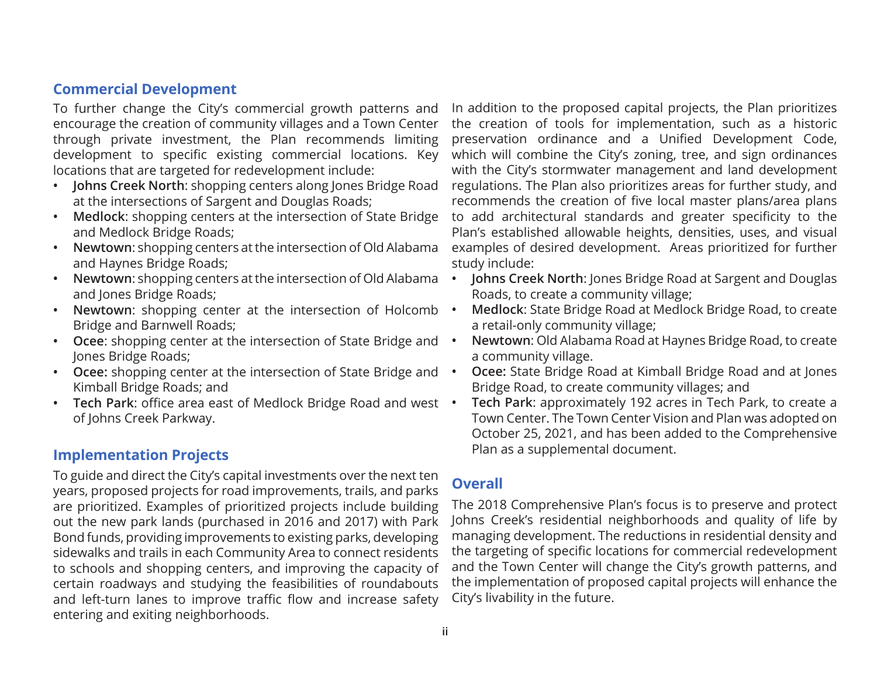## **Commercial Development**

To further change the City's commercial growth patterns and encourage the creation of community villages and a Town Center through private investment, the Plan recommends limiting development to specific existing commercial locations. Key locations that are targeted for redevelopment include:

- **• Johns Creek North**: shopping centers along Jones Bridge Road at the intersections of Sargent and Douglas Roads;
- **• Medlock**: shopping centers at the intersection of State Bridge and Medlock Bridge Roads;
- **• Newtown**: shopping centers at the intersection of Old Alabama and Haynes Bridge Roads;
- **• Newtown**: shopping centers at the intersection of Old Alabama and Jones Bridge Roads;
- **• Newtown**: shopping center at the intersection of Holcomb Bridge and Barnwell Roads;
- **• Ocee**: shopping center at the intersection of State Bridge and Jones Bridge Roads;
- **• Ocee:** shopping center at the intersection of State Bridge and Kimball Bridge Roads; and
- **• Tech Park**: office area east of Medlock Bridge Road and west of Johns Creek Parkway.

# **Implementation Projects**

To guide and direct the City's capital investments over the next ten years, proposed projects for road improvements, trails, and parks are prioritized. Examples of prioritized projects include building out the new park lands (purchased in 2016 and 2017) with Park Bond funds, providing improvements to existing parks, developing sidewalks and trails in each Community Area to connect residents to schools and shopping centers, and improving the capacity of certain roadways and studying the feasibilities of roundabouts and left-turn lanes to improve traffic flow and increase safety entering and exiting neighborhoods.

In addition to the proposed capital projects, the Plan prioritizes the creation of tools for implementation, such as a historic preservation ordinance and a Unified Development Code, which will combine the City's zoning, tree, and sign ordinances with the City's stormwater management and land development regulations. The Plan also prioritizes areas for further study, and recommends the creation of five local master plans/area plans to add architectural standards and greater specificity to the Plan's established allowable heights, densities, uses, and visual examples of desired development. Areas prioritized for further study include:

- **• Johns Creek North**: Jones Bridge Road at Sargent and Douglas Roads, to create a community village;
- **• Medlock**: State Bridge Road at Medlock Bridge Road, to create a retail-only community village;
- **• Newtown**: Old Alabama Road at Haynes Bridge Road, to create a community village.
- **• Ocee:** State Bridge Road at Kimball Bridge Road and at Jones Bridge Road, to create community villages; and
- **• Tech Park**: approximately 192 acres in Tech Park, to create a Town Center. The Town Center Vision and Plan was adopted on October 25, 2021, and has been added to the Comprehensive Plan as a supplemental document.

# **Overall**

The 2018 Comprehensive Plan's focus is to preserve and protect Johns Creek's residential neighborhoods and quality of life by managing development. The reductions in residential density and the targeting of specific locations for commercial redevelopment and the Town Center will change the City's growth patterns, and the implementation of proposed capital projects will enhance the City's livability in the future.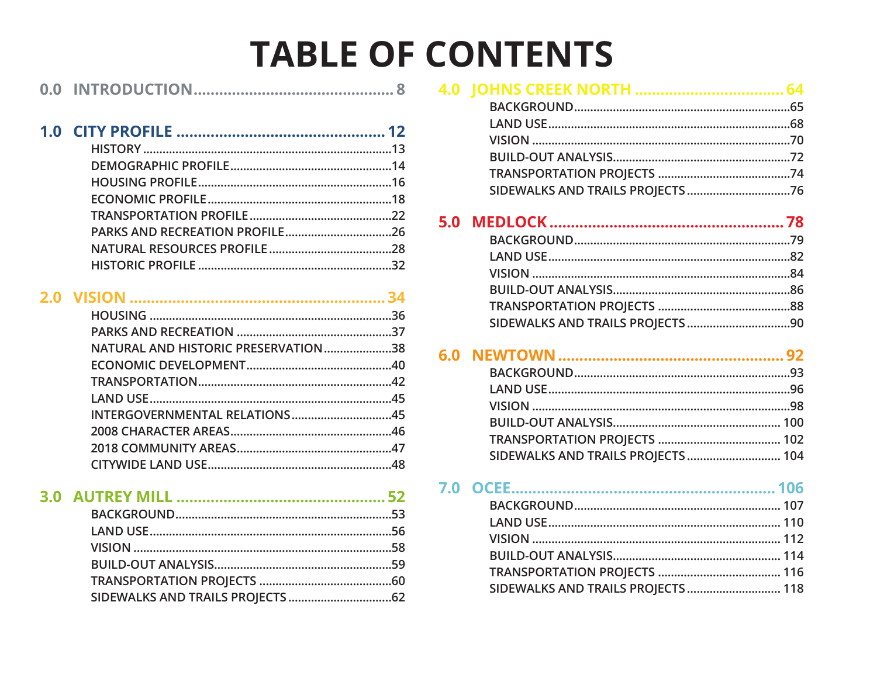# **TABLE OF CONTENTS**

| 0.0 |  |
|-----|--|
|     |  |

|  | NATURAL AND HISTORIC PRESERVATION38 |  |
|--|-------------------------------------|--|
|  |                                     |  |
|  |                                     |  |
|  |                                     |  |
|  | INTERGOVERNMENTAL RELATIONS45       |  |
|  |                                     |  |
|  |                                     |  |
|  |                                     |  |
|  |                                     |  |

# 

# 

| SIDEWALKS AND TRAILS PROJECTS  104 |  |
|------------------------------------|--|

#### **BACKGROUND** 107

| SIDEWALKS AND TRAILS PROJECTS  118 |  |
|------------------------------------|--|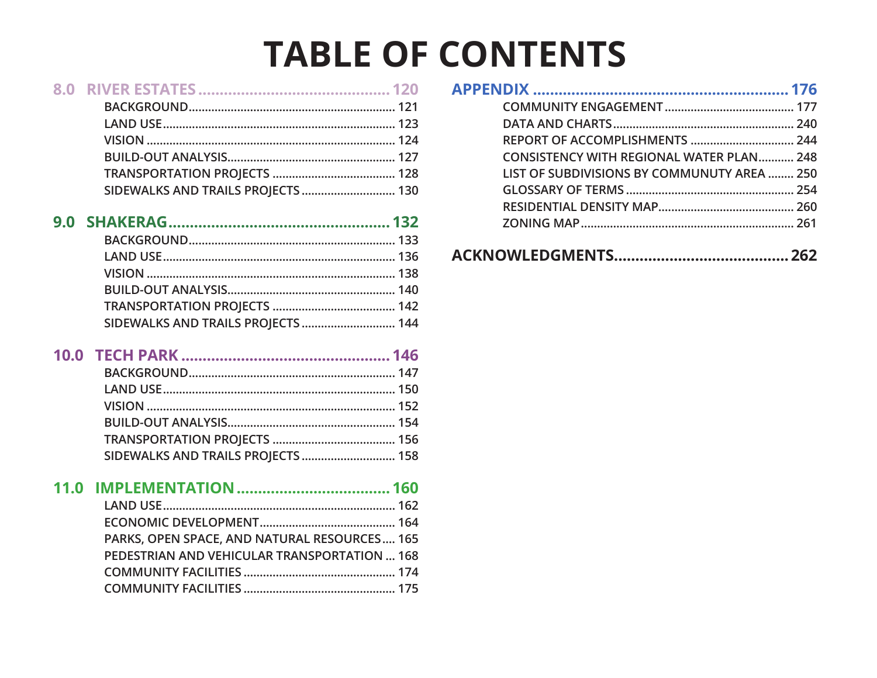# **TABLE OF CONTENTS**

|      | SIDEWALKS AND TRAILS PROJECTS  130                                                           |
|------|----------------------------------------------------------------------------------------------|
|      | SIDEWALKS AND TRAILS PROJECTS  144                                                           |
|      | SIDEWALKS AND TRAILS PROJECTS  158                                                           |
| 11.0 | PARKS, OPEN SPACE, AND NATURAL RESOURCES 165<br>PEDESTRIAN AND VEHICULAR TRANSPORTATION  168 |

| REPORT OF ACCOMPLISHMENTS  244                  |  |
|-------------------------------------------------|--|
| <b>CONSISTENCY WITH REGIONAL WATER PLAN 248</b> |  |
| LIST OF SUBDIVISIONS BY COMMUNUTY AREA  250     |  |
|                                                 |  |
|                                                 |  |
|                                                 |  |
|                                                 |  |

#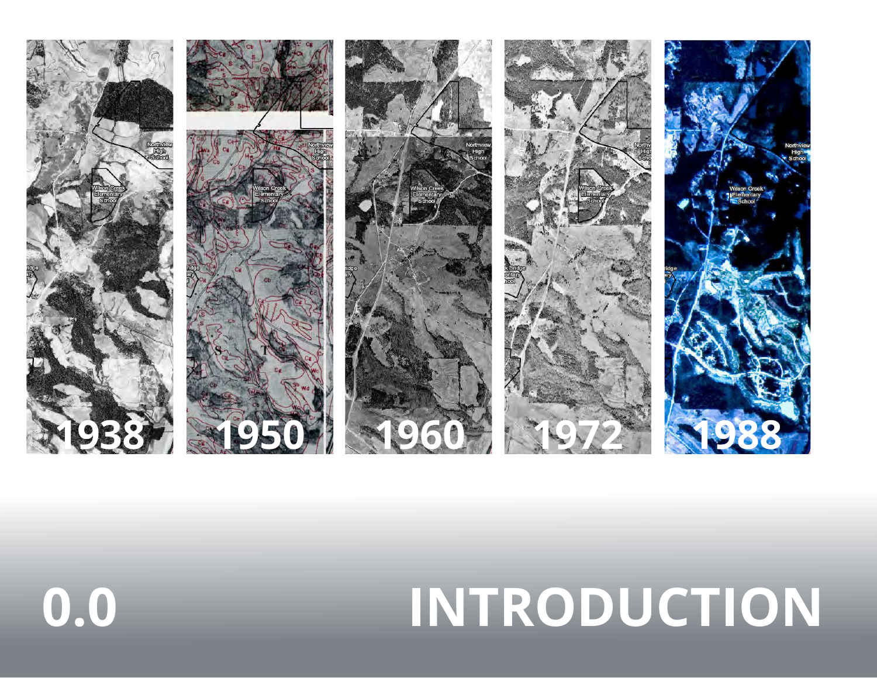

# **0.0 INTRODUCTION**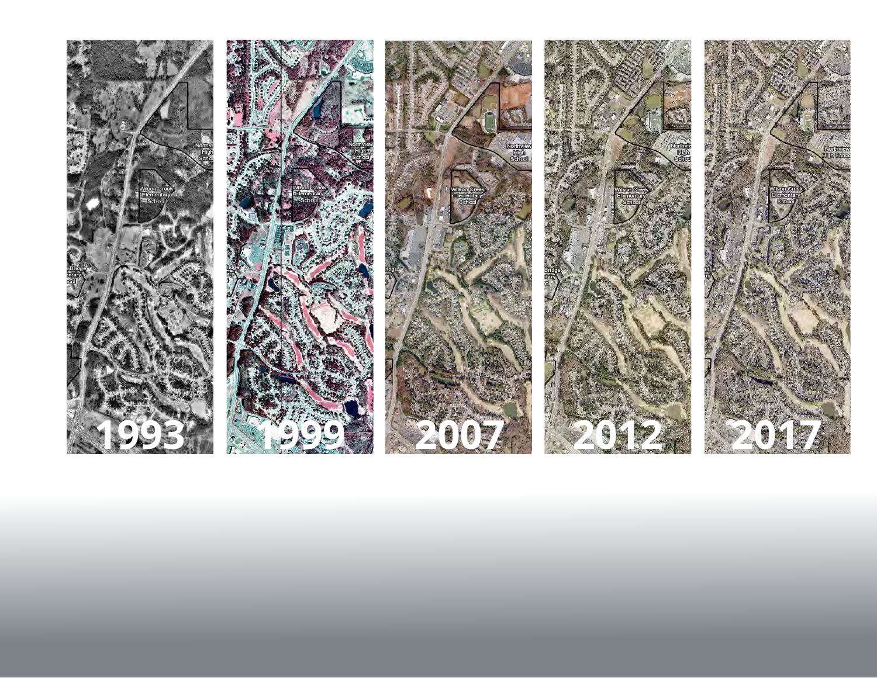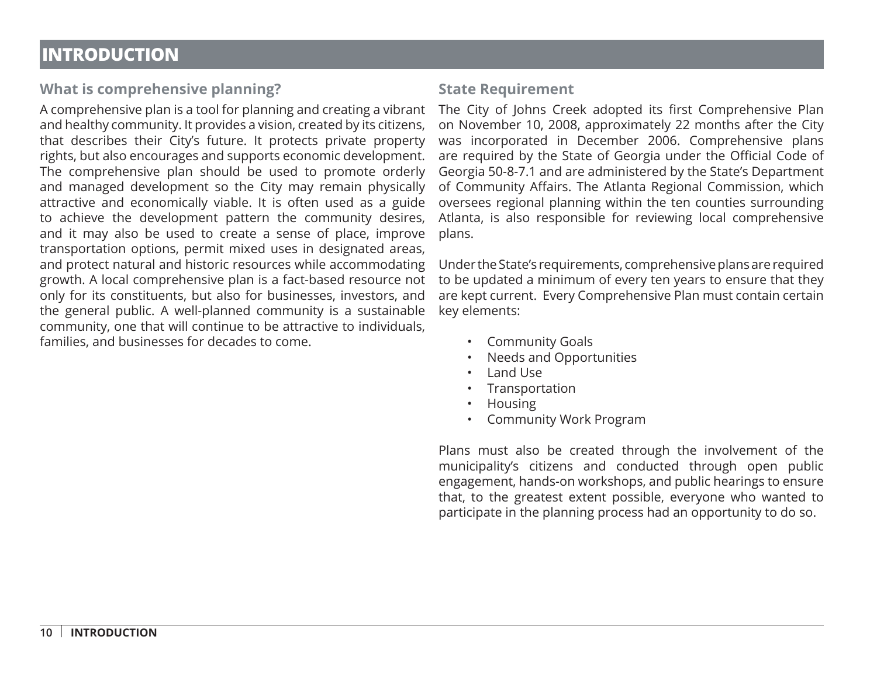# **INTRODUCTION**

# **What is comprehensive planning?**

and healthy community. It provides a vision, created by its citizens, that describes their City's future. It protects private property rights, but also encourages and supports economic development. The comprehensive plan should be used to promote orderly and managed development so the City may remain physically attractive and economically viable. It is often used as a guide to achieve the development pattern the community desires, and it may also be used to create a sense of place, improve transportation options, permit mixed uses in designated areas, and protect natural and historic resources while accommodating growth. A local comprehensive plan is a fact-based resource not only for its constituents, but also for businesses, investors, and the general public. A well-planned community is a sustainable community, one that will continue to be attractive to individuals, families, and businesses for decades to come.

# **State Requirement**

A comprehensive plan is a tool for planning and creating a vibrant The City of Johns Creek adopted its first Comprehensive Plan on November 10, 2008, approximately 22 months after the City was incorporated in December 2006. Comprehensive plans are required by the State of Georgia under the Official Code of Georgia 50-8-7.1 and are administered by the State's Department of Community Affairs. The Atlanta Regional Commission, which oversees regional planning within the ten counties surrounding Atlanta, is also responsible for reviewing local comprehensive plans.

> Under the State's requirements, comprehensive plans are required to be updated a minimum of every ten years to ensure that they are kept current. Every Comprehensive Plan must contain certain key elements:

- Community Goals
- Needs and Opportunities
- Land Use
- Transportation
- Housing
- Community Work Program

Plans must also be created through the involvement of the municipality's citizens and conducted through open public engagement, hands-on workshops, and public hearings to ensure that, to the greatest extent possible, everyone who wanted to participate in the planning process had an opportunity to do so.